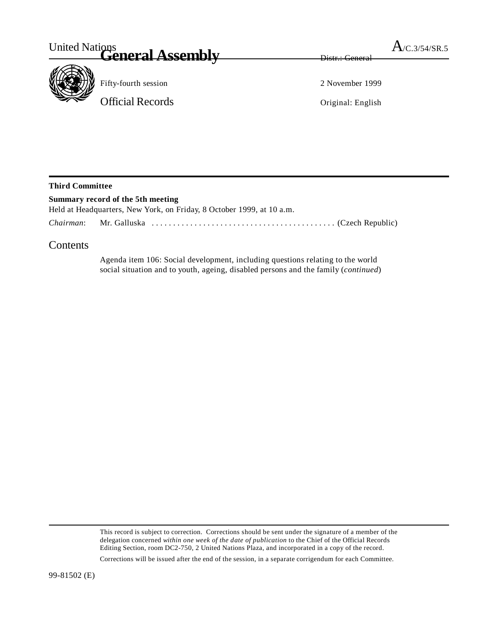

Fifty-fourth session 2 November 1999

Official Records Original: English

## **Third Committee**

| Summary record of the 5th meeting                                     |  |
|-----------------------------------------------------------------------|--|
| Held at Headquarters, New York, on Friday, 8 October 1999, at 10 a.m. |  |
|                                                                       |  |

## **Contents**

Agenda item 106: Social development, including questions relating to the world social situation and to youth, ageing, disabled persons and the family (*continued*)

This record is subject to correction. Corrections should be sent under the signature of a member of the delegation concerned *within one week of the date of publication* to the Chief of the Official Records Editing Section, room DC2-750, 2 United Nations Plaza, and incorporated in a copy of the record.

Corrections will be issued after the end of the session, in a separate corrigendum for each Committee.

99-81502 (E)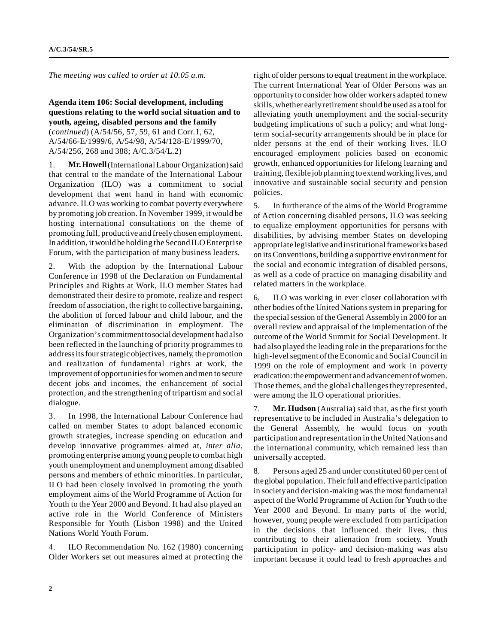*The meeting was called to order at 10.05 a.m.*

**Agenda item 106: Social development, including questions relating to the world social situation and to youth, ageing, disabled persons and the family** (*continued*) (A/54/56, 57, 59, 61 and Corr.1, 62, A/54/66-E/1999/6, A/54/98, A/54/128-E/1999/70, A/54/256, 268 and 388; A/C.3/54/L.2)

1. **Mr. Howell** (International Labour Organization) said that central to the mandate of the International Labour Organization (ILO) was a commitment to social development that went hand in hand with economic advance. ILO was working to combat poverty everywhere by promoting job creation. In November 1999, it would be hosting international consultations on the theme of promoting full, productive and freely chosen employment. In addition, it would be holding the Second ILO Enterprise Forum, with the participation of many business leaders.

2. With the adoption by the International Labour Conference in 1998 of the Declaration on Fundamental Principles and Rights at Work, ILO member States had demonstrated their desire to promote, realize and respect freedom of association, the right to collective bargaining, the abolition of forced labour and child labour, and the elimination of discrimination in employment. The Organization's commitment to social development had also been reflected in the launching of priority programmes to address its four strategic objectives, namely, the promotion and realization of fundamental rights at work, the improvement of opportunities for women and men to secure decent jobs and incomes, the enhancement of social protection, and the strengthening of tripartism and social dialogue.

3. In 1998, the International Labour Conference had called on member States to adopt balanced economic growth strategies, increase spending on education and develop innovative programmes aimed at, *inter alia*, promoting enterprise among young people to combat high youth unemployment and unemployment among disabled persons and members of ethnic minorities. In particular, ILO had been closely involved in promoting the youth employment aims of the World Programme of Action for Youth to the Year 2000 and Beyond. It had also played an active role in the World Conference of Ministers Responsible for Youth (Lisbon 1998) and the United Nations World Youth Forum.

4. ILO Recommendation No. 162 (1980) concerning Older Workers set out measures aimed at protecting the

right of older persons to equal treatment in the workplace. The current International Year of Older Persons was an opportunity to consider how older workers adapted to new skills, whether early retirement should be used as a tool for alleviating youth unemployment and the social-security budgeting implications of such a policy; and what longterm social-security arrangements should be in place for older persons at the end of their working lives. ILO encouraged employment policies based on economic growth, enhanced opportunities for lifelong learning and training, flexible job planning to extend working lives, and innovative and sustainable social security and pension policies.

5. In furtherance of the aims of the World Programme of Action concerning disabled persons, ILO was seeking to equalize employment opportunities for persons with disabilities, by advising member States on developing appropriate legislative and institutional frameworks based on its Conventions, building a supportive environment for the social and economic integration of disabled persons, as well as a code of practice on managing disability and related matters in the workplace.

6. ILO was working in ever closer collaboration with other bodies of the United Nations system in preparing for the special session of the General Assembly in 2000 for an overall review and appraisal of the implementation of the outcome of the World Summit for Social Development. It had also played the leading role in the preparations for the high-level segment of the Economic and Social Council in 1999 on the role of employment and work in poverty eradication: the empowerment and advancement of women. Those themes, and the global challenges they represented, were among the ILO operational priorities.

7. **Mr. Hudson** (Australia) said that, as the first youth representative to be included in Australia's delegation to the General Assembly, he would focus on youth participation and representation in the United Nations and the international community, which remained less than universally accepted.

8. Persons aged 25 and under constituted 60 per cent of the global population. Their full and effective participation in society and decision-making was the most fundamental aspect of the World Programme of Action for Youth to the Year 2000 and Beyond. In many parts of the world, however, young people were excluded from participation in the decisions that influenced their lives, thus contributing to their alienation from society. Youth participation in policy- and decision-making was also important because it could lead to fresh approaches and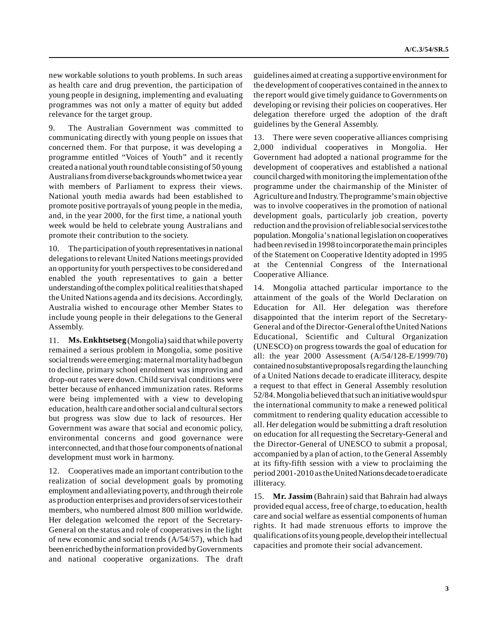new workable solutions to youth problems. In such areas as health care and drug prevention, the participation of young people in designing, implementing and evaluating programmes was not only a matter of equity but added relevance for the target group.

9. The Australian Government was committed to communicating directly with young people on issues that concerned them. For that purpose, it was developing a programme entitled "Voices of Youth" and it recently created a national youth round table consisting of 50 young Australians from diverse backgrounds who met twice a year with members of Parliament to express their views. National youth media awards had been established to promote positive portrayals of young people in the media, and, in the year 2000, for the first time, a national youth week would be held to celebrate young Australians and promote their contribution to the society.

10. The participation of youth representatives in national delegations to relevant United Nations meetings provided an opportunity for youth perspectives to be considered and enabled the youth representatives to gain a better understanding of the complex political realities that shaped the United Nations agenda and its decisions. Accordingly, Australia wished to encourage other Member States to include young people in their delegations to the General Assembly.

11. **Ms. Enkhtsetseg** (Mongolia) said that while poverty remained a serious problem in Mongolia, some positive social trends were emerging: maternal mortality had begun to decline, primary school enrolment was improving and drop-out rates were down. Child survival conditions were better because of enhanced immunization rates. Reforms were being implemented with a view to developing education, health care and other social and cultural sectors but progress was slow due to lack of resources. Her Government was aware that social and economic policy, environmental concerns and good governance were interconnected, and that those four components of national development must work in harmony.

12. Cooperatives made an important contribution to the realization of social development goals by promoting employment and alleviating poverty, and through their role as production enterprises and providers of services to their members, who numbered almost 800 million worldwide. Her delegation welcomed the report of the Secretary-General on the status and role of cooperatives in the light of new economic and social trends (A/54/57), which had been enriched by the information provided by Governments and national cooperative organizations. The draft

guidelines aimed at creating a supportive environment for the development of cooperatives contained in the annex to the report would give timely guidance to Governments on developing or revising their policies on cooperatives. Her delegation therefore urged the adoption of the draft guidelines by the General Assembly.

13. There were seven cooperative alliances comprising 2,000 individual cooperatives in Mongolia. Her Government had adopted a national programme for the development of cooperatives and established a national council charged with monitoring the implementation of the programme under the chairmanship of the Minister of Agriculture and Industry. The programme's main objective was to involve cooperatives in the promotion of national development goals, particularly job creation, poverty reduction and the provision of reliable social services to the population. Mongolia's national legislation on cooperatives had been revised in 1998 to incorporate the main principles of the Statement on Cooperative Identity adopted in 1995 at the Centennial Congress of the International Cooperative Alliance.

14. Mongolia attached particular importance to the attainment of the goals of the World Declaration on Education for All. Her delegation was therefore disappointed that the interim report of the Secretary-General and of the Director-General of the United Nations Educational, Scientific and Cultural Organization (UNESCO) on progress towards the goal of education for all: the year 2000 Assessment (A/54/128-E/1999/70) contained no substantive proposals regarding the launching of a United Nations decade to eradicate illiteracy, despite a request to that effect in General Assembly resolution 52/84. Mongolia believed that such an initiative would spur the international community to make a renewed political commitment to rendering quality education accessible to all. Her delegation would be submitting a draft resolution on education for all requesting the Secretary-General and the Director-General of UNESCO to submit a proposal, accompanied by a plan of action, to the General Assembly at its fifty-fifth session with a view to proclaiming the period 2001-2010 as the United Nations decade to eradicate illiteracy.

15. **Mr. Jassim** (Bahrain) said that Bahrain had always provided equal access, free of charge, to education, health care and social welfare as essential components of human rights. It had made strenuous efforts to improve the qualifications of its young people, develop their intellectual capacities and promote their social advancement.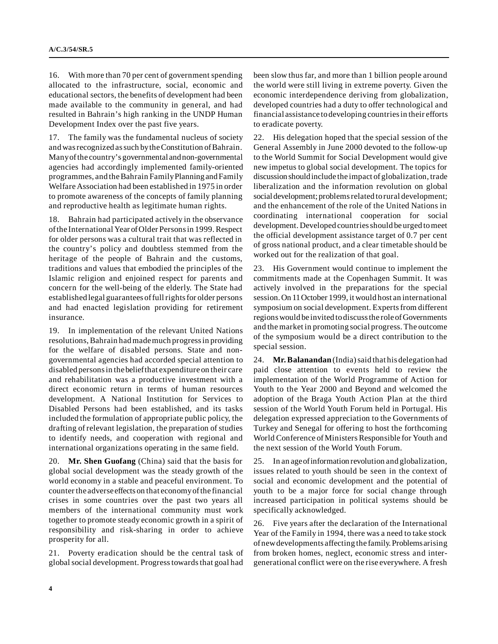16. With more than 70 per cent of government spending allocated to the infrastructure, social, economic and educational sectors, the benefits of development had been made available to the community in general, and had resulted in Bahrain's high ranking in the UNDP Human Development Index over the past five years.

17. The family was the fundamental nucleus of society and was recognized as such by the Constitution of Bahrain. Many of the country's governmental and non-governmental agencies had accordingly implemented family-oriented programmes, and the Bahrain Family Planning and Family Welfare Association had been established in 1975 in order to promote awareness of the concepts of family planning and reproductive health as legitimate human rights.

18. Bahrain had participated actively in the observance of the International Year of Older Persons in 1999. Respect for older persons was a cultural trait that was reflected in the country's policy and doubtless stemmed from the heritage of the people of Bahrain and the customs, traditions and values that embodied the principles of the Islamic religion and enjoined respect for parents and concern for the well-being of the elderly. The State had established legal guarantees of full rights for older persons and had enacted legislation providing for retirement insurance.

19. In implementation of the relevant United Nations resolutions, Bahrain had made much progress in providing for the welfare of disabled persons. State and nongovernmental agencies had accorded special attention to disabled persons in the belief that expenditure on their care and rehabilitation was a productive investment with a direct economic return in terms of human resources development. A National Institution for Services to Disabled Persons had been established, and its tasks included the formulation of appropriate public policy, the drafting of relevant legislation, the preparation of studies to identify needs, and cooperation with regional and international organizations operating in the same field.

20. **Mr. Shen Guofang** (China) said that the basis for global social development was the steady growth of the world economy in a stable and peaceful environment. To counter the adverse effects on that economy of the financial crises in some countries over the past two years all members of the international community must work together to promote steady economic growth in a spirit of responsibility and risk-sharing in order to achieve prosperity for all.

21. Poverty eradication should be the central task of global social development. Progress towards that goal had been slow thus far, and more than 1 billion people around the world were still living in extreme poverty. Given the economic interdependence deriving from globalization, developed countries had a duty to offer technological and financial assistance to developing countries in their efforts to eradicate poverty.

22. His delegation hoped that the special session of the General Assembly in June 2000 devoted to the follow-up to the World Summit for Social Development would give new impetus to global social development. The topics for discussion should include the impact of globalization, trade liberalization and the information revolution on global social development; problems related to rural development; and the enhancement of the role of the United Nations in coordinating international cooperation for social development. Developed countries should be urged to meet the official development assistance target of 0.7 per cent of gross national product, and a clear timetable should be worked out for the realization of that goal.

23. His Government would continue to implement the commitments made at the Copenhagen Summit. It was actively involved in the preparations for the special session. On 11 October 1999, it would host an international symposium on social development. Experts from different regions would be invited to discuss the role of Governments and the market in promoting social progress. The outcome of the symposium would be a direct contribution to the special session.

24. **Mr. Balanandan** (India) said that his delegation had paid close attention to events held to review the implementation of the World Programme of Action for Youth to the Year 2000 and Beyond and welcomed the adoption of the Braga Youth Action Plan at the third session of the World Youth Forum held in Portugal. His delegation expressed appreciation to the Governments of Turkey and Senegal for offering to host the forthcoming World Conference of Ministers Responsible for Youth and the next session of the World Youth Forum.

25. In an age of information revolution and globalization, issues related to youth should be seen in the context of social and economic development and the potential of youth to be a major force for social change through increased participation in political systems should be specifically acknowledged.

26. Five years after the declaration of the International Year of the Family in 1994, there was a need to take stock of new developments affecting the family. Problems arising from broken homes, neglect, economic stress and intergenerational conflict were on the rise everywhere. A fresh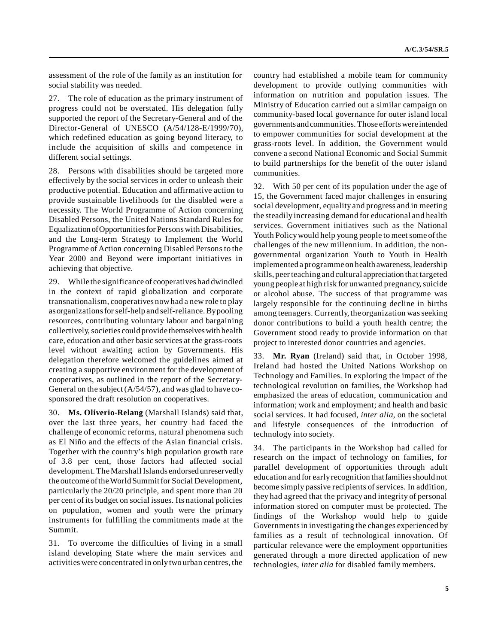assessment of the role of the family as an institution for social stability was needed.

27. The role of education as the primary instrument of progress could not be overstated. His delegation fully supported the report of the Secretary-General and of the Director-General of UNESCO (A/54/128-E/1999/70), which redefined education as going beyond literacy, to include the acquisition of skills and competence in different social settings.

28. Persons with disabilities should be targeted more effectively by the social services in order to unleash their productive potential. Education and affirmative action to provide sustainable livelihoods for the disabled were a necessity. The World Programme of Action concerning Disabled Persons, the United Nations Standard Rules for Equalization of Opportunities for Persons with Disabilities, and the Long-term Strategy to Implement the World Programme of Action concerning Disabled Persons to the Year 2000 and Beyond were important initiatives in achieving that objective.

29. While the significance of cooperatives had dwindled in the context of rapid globalization and corporate transnationalism, cooperatives now had a new role to play as organizations for self-help and self-reliance. By pooling resources, contributing voluntary labour and bargaining collectively, societies could provide themselves with health care, education and other basic services at the grass-roots level without awaiting action by Governments. His delegation therefore welcomed the guidelines aimed at creating a supportive environment for the development of cooperatives, as outlined in the report of the Secretary-General on the subject (A/54/57), and was glad to have cosponsored the draft resolution on cooperatives.

30. **Ms. Oliverio-Relang** (Marshall Islands) said that, over the last three years, her country had faced the challenge of economic reforms, natural phenomena such as El Niño and the effects of the Asian financial crisis. Together with the country's high population growth rate of 3.8 per cent, those factors had affected social development. The Marshall Islands endorsed unreservedly the outcome of the World Summit for Social Development, particularly the 20/20 principle, and spent more than 20 per cent of its budget on social issues. Its national policies on population, women and youth were the primary instruments for fulfilling the commitments made at the Summit.

31. To overcome the difficulties of living in a small island developing State where the main services and activities were concentrated in only two urban centres, the country had established a mobile team for community development to provide outlying communities with information on nutrition and population issues. The Ministry of Education carried out a similar campaign on community-based local governance for outer island local governments and communities. Those efforts were intended to empower communities for social development at the grass-roots level. In addition, the Government would convene a second National Economic and Social Summit to build partnerships for the benefit of the outer island communities.

32. With 50 per cent of its population under the age of 15, the Government faced major challenges in ensuring social development, equality and progress and in meeting the steadily increasing demand for educational and health services. Government initiatives such as the National Youth Policy would help young people to meet some of the challenges of the new millennium. In addition, the nongovernmental organization Youth to Youth in Health implemented a programme on health awareness, leadership skills, peer teaching and cultural appreciation that targeted young people at high risk for unwanted pregnancy, suicide or alcohol abuse. The success of that programme was largely responsible for the continuing decline in births among teenagers. Currently, the organization was seeking donor contributions to build a youth health centre; the Government stood ready to provide information on that project to interested donor countries and agencies.

33. **Mr. Ryan** (Ireland) said that, in October 1998, Ireland had hosted the United Nations Workshop on Technology and Families. In exploring the impact of the technological revolution on families, the Workshop had emphasized the areas of education, communication and information; work and employment; and health and basic social services. It had focused, *inter alia*, on the societal and lifestyle consequences of the introduction of technology into society.

34. The participants in the Workshop had called for research on the impact of technology on families, for parallel development of opportunities through adult education and for early recognition that families should not become simply passive recipients of services. In addition, they had agreed that the privacy and integrity of personal information stored on computer must be protected. The findings of the Workshop would help to guide Governments in investigating the changes experienced by families as a result of technological innovation. Of particular relevance were the employment opportunities generated through a more directed application of new technologies, *inter alia* for disabled family members.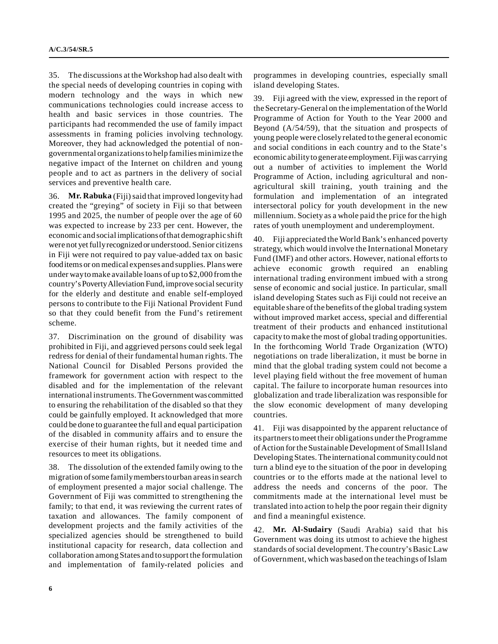35. The discussions at the Workshop had also dealt with the special needs of developing countries in coping with modern technology and the ways in which new communications technologies could increase access to health and basic services in those countries. The participants had recommended the use of family impact assessments in framing policies involving technology. Moreover, they had acknowledged the potential of nongovernmental organizations to help families minimize the negative impact of the Internet on children and young people and to act as partners in the delivery of social services and preventive health care.

36. **Mr. Rabuka** (Fiji) said that improved longevity had created the "greying" of society in Fiji so that between 1995 and 2025, the number of people over the age of 60 was expected to increase by 233 per cent. However, the economic and social implications of that demographic shift were not yet fully recognized or understood. Senior citizens in Fiji were not required to pay value-added tax on basic food items or on medical expenses and supplies. Plans were under way to make available loans of up to \$2,000 from the country's Poverty Alleviation Fund, improve social security for the elderly and destitute and enable self-employed persons to contribute to the Fiji National Provident Fund so that they could benefit from the Fund's retirement scheme.

37. Discrimination on the ground of disability was prohibited in Fiji, and aggrieved persons could seek legal redress for denial of their fundamental human rights. The National Council for Disabled Persons provided the framework for government action with respect to the disabled and for the implementation of the relevant international instruments. The Government was committed to ensuring the rehabilitation of the disabled so that they could be gainfully employed. It acknowledged that more could be done to guarantee the full and equal participation of the disabled in community affairs and to ensure the exercise of their human rights, but it needed time and resources to meet its obligations.

38. The dissolution of the extended family owing to the migration of some family members to urban areas in search of employment presented a major social challenge. The Government of Fiji was committed to strengthening the family; to that end, it was reviewing the current rates of taxation and allowances. The family component of development projects and the family activities of the specialized agencies should be strengthened to build institutional capacity for research, data collection and collaboration among States and to support the formulation and implementation of family-related policies and

programmes in developing countries, especially small island developing States.

39. Fiji agreed with the view, expressed in the report of the Secretary-General on the implementation of the World Programme of Action for Youth to the Year 2000 and Beyond (A/54/59), that the situation and prospects of young people were closely related to the general economic and social conditions in each country and to the State's economic ability to generate employment. Fiji was carrying out a number of activities to implement the World Programme of Action, including agricultural and nonagricultural skill training, youth training and the formulation and implementation of an integrated intersectoral policy for youth development in the new millennium. Society as a whole paid the price for the high rates of youth unemployment and underemployment.

40. Fiji appreciated the World Bank's enhanced poverty strategy, which would involve the International Monetary Fund (IMF) and other actors. However, national efforts to achieve economic growth required an enabling international trading environment imbued with a strong sense of economic and social justice. In particular, small island developing States such as Fiji could not receive an equitable share of the benefits of the global trading system without improved market access, special and differential treatment of their products and enhanced institutional capacity to make the most of global trading opportunities. In the forthcoming World Trade Organization (WTO) negotiations on trade liberalization, it must be borne in mind that the global trading system could not become a level playing field without the free movement of human capital. The failure to incorporate human resources into globalization and trade liberalization was responsible for the slow economic development of many developing countries.

41. Fiji was disappointed by the apparent reluctance of its partners to meet their obligations under the Programme of Action for the Sustainable Development of Small Island Developing States. The international community could not turn a blind eye to the situation of the poor in developing countries or to the efforts made at the national level to address the needs and concerns of the poor. The commitments made at the international level must be translated into action to help the poor regain their dignity and find a meaningful existence.

42. **Mr. Al-Sudairy** (Saudi Arabia) said that his Government was doing its utmost to achieve the highest standards of social development. The country's Basic Law of Government, which was based on the teachings of Islam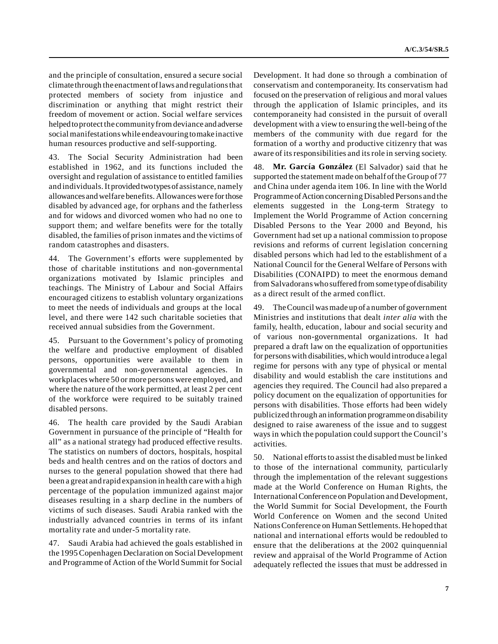and the principle of consultation, ensured a secure social climate through the enactment of laws and regulations that protected members of society from injustice and discrimination or anything that might restrict their freedom of movement or action. Social welfare services helped to protect the community from deviance and adverse social manifestations while endeavouring to make inactive human resources productive and self-supporting.

43. The Social Security Administration had been established in 1962, and its functions included the oversight and regulation of assistance to entitled families and individuals. It provided two types of assistance, namely allowances and welfare benefits. Allowances were for those disabled by advanced age, for orphans and the fatherless and for widows and divorced women who had no one to support them; and welfare benefits were for the totally disabled, the families of prison inmates and the victims of random catastrophes and disasters.

44. The Government's efforts were supplemented by those of charitable institutions and non-governmental organizations motivated by Islamic principles and teachings. The Ministry of Labour and Social Affairs encouraged citizens to establish voluntary organizations to meet the needs of individuals and groups at the local level, and there were 142 such charitable societies that received annual subsidies from the Government.

45. Pursuant to the Government's policy of promoting the welfare and productive employment of disabled persons, opportunities were available to them in governmental and non-governmental agencies. In workplaces where 50 or more persons were employed, and where the nature of the work permitted, at least 2 per cent of the workforce were required to be suitably trained disabled persons.

46. The health care provided by the Saudi Arabian Government in pursuance of the principle of "Health for all" as a national strategy had produced effective results. The statistics on numbers of doctors, hospitals, hospital beds and health centres and on the ratios of doctors and nurses to the general population showed that there had been a great and rapid expansion in health care with a high percentage of the population immunized against major diseases resulting in a sharp decline in the numbers of victims of such diseases. Saudi Arabia ranked with the industrially advanced countries in terms of its infant mortality rate and under-5 mortality rate.

47. Saudi Arabia had achieved the goals established in the 1995 Copenhagen Declaration on Social Development and Programme of Action of the World Summit for Social

Development. It had done so through a combination of conservatism and contemporaneity. Its conservatism had focused on the preservation of religious and moral values through the application of Islamic principles, and its contemporaneity had consisted in the pursuit of overall development with a view to ensuring the well-being of the members of the community with due regard for the formation of a worthy and productive citizenry that was aware of its responsibilities and its role in serving society.

48. **Mr. García González** (El Salvador) said that he supported the statement made on behalf of the Group of 77 and China under agenda item 106. In line with the World Programme of Action concerning Disabled Persons and the elements suggested in the Long-term Strategy to Implement the World Programme of Action concerning Disabled Persons to the Year 2000 and Beyond, his Government had set up a national commission to propose revisions and reforms of current legislation concerning disabled persons which had led to the establishment of a National Council for the General Welfare of Persons with Disabilities (CONAIPD) to meet the enormous demand from Salvadorans who suffered from some type of disability as a direct result of the armed conflict.

49. The Council was made up of a number of government Ministries and institutions that dealt *inter alia* with the family, health, education, labour and social security and of various non-governmental organizations. It had prepared a draft law on the equalization of opportunities for persons with disabilities, which would introduce a legal regime for persons with any type of physical or mental disability and would establish the care institutions and agencies they required. The Council had also prepared a policy document on the equalization of opportunities for persons with disabilities. Those efforts had been widely publicized through an information programme on disability designed to raise awareness of the issue and to suggest ways in which the population could support the Council's activities.

50. National efforts to assist the disabled must be linked to those of the international community, particularly through the implementation of the relevant suggestions made at the World Conference on Human Rights, the International Conference on Population and Development, the World Summit for Social Development, the Fourth World Conference on Women and the second United Nations Conference on Human Settlements. He hoped that national and international efforts would be redoubled to ensure that the deliberations at the 2002 quinquennial review and appraisal of the World Programme of Action adequately reflected the issues that must be addressed in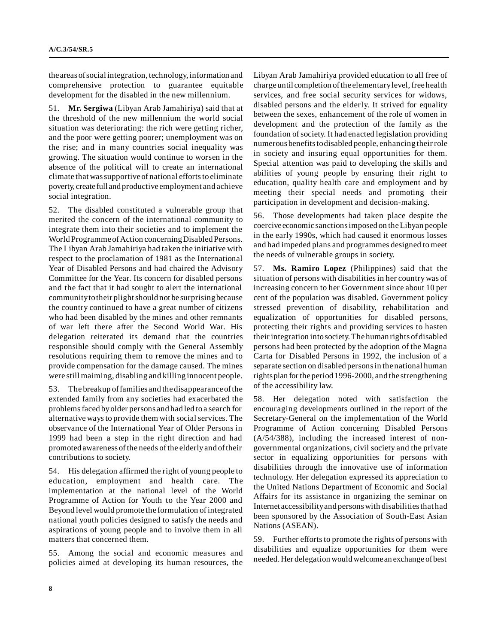the areas of social integration, technology, information and comprehensive protection to guarantee equitable development for the disabled in the new millennium.

51. **Mr. Sergiwa** (Libyan Arab Jamahiriya) said that at the threshold of the new millennium the world social situation was deteriorating: the rich were getting richer, and the poor were getting poorer; unemployment was on the rise; and in many countries social inequality was growing. The situation would continue to worsen in the absence of the political will to create an international climate that was supportive of national efforts to eliminate poverty, create full and productive employment and achieve social integration.

52. The disabled constituted a vulnerable group that merited the concern of the international community to integrate them into their societies and to implement the World Programme of Action concerning Disabled Persons. The Libyan Arab Jamahiriya had taken the initiative with respect to the proclamation of 1981 as the International Year of Disabled Persons and had chaired the Advisory Committee for the Year. Its concern for disabled persons and the fact that it had sought to alert the international community to their plight should not be surprising because the country continued to have a great number of citizens who had been disabled by the mines and other remnants of war left there after the Second World War. His delegation reiterated its demand that the countries responsible should comply with the General Assembly resolutions requiring them to remove the mines and to provide compensation for the damage caused. The mines were still maiming, disabling and killing innocent people.

53. The breakup of families and the disappearance of the extended family from any societies had exacerbated the problems faced by older persons and had led to a search for alternative ways to provide them with social services. The observance of the International Year of Older Persons in 1999 had been a step in the right direction and had promoted awareness of the needs of the elderly and of their contributions to society.

54. His delegation affirmed the right of young people to education, employment and health care. The implementation at the national level of the World Programme of Action for Youth to the Year 2000 and Beyond level would promote the formulation of integrated national youth policies designed to satisfy the needs and aspirations of young people and to involve them in all matters that concerned them.

55. Among the social and economic measures and policies aimed at developing its human resources, the Libyan Arab Jamahiriya provided education to all free of charge until completion of the elementary level, free health services, and free social security services for widows, disabled persons and the elderly. It strived for equality between the sexes, enhancement of the role of women in development and the protection of the family as the foundation of society. It had enacted legislation providing numerous benefits to disabled people, enhancing their role in society and insuring equal opportunities for them. Special attention was paid to developing the skills and abilities of young people by ensuring their right to education, quality health care and employment and by meeting their special needs and promoting their participation in development and decision-making.

56. Those developments had taken place despite the coercive economic sanctions imposed on the Libyan people in the early 1990s, which had caused it enormous losses and had impeded plans and programmes designed to meet the needs of vulnerable groups in society.

57. **Ms. Ramiro Lopez** (Philippines) said that the situation of persons with disabilities in her country was of increasing concern to her Government since about 10 per cent of the population was disabled. Government policy stressed prevention of disability, rehabilitation and equalization of opportunities for disabled persons, protecting their rights and providing services to hasten their integration into society. The human rights of disabled persons had been protected by the adoption of the Magna Carta for Disabled Persons in 1992, the inclusion of a separate section on disabled persons in the national human rights plan for the period 1996-2000, and the strengthening of the accessibility law.

58. Her delegation noted with satisfaction the encouraging developments outlined in the report of the Secretary-General on the implementation of the World Programme of Action concerning Disabled Persons (A/54/388), including the increased interest of nongovernmental organizations, civil society and the private sector in equalizing opportunities for persons with disabilities through the innovative use of information technology. Her delegation expressed its appreciation to the United Nations Department of Economic and Social Affairs for its assistance in organizing the seminar on Internet accessibility and persons with disabilities that had been sponsored by the Association of South-East Asian Nations (ASEAN).

59. Further efforts to promote the rights of persons with disabilities and equalize opportunities for them were needed. Her delegation would welcome an exchange of best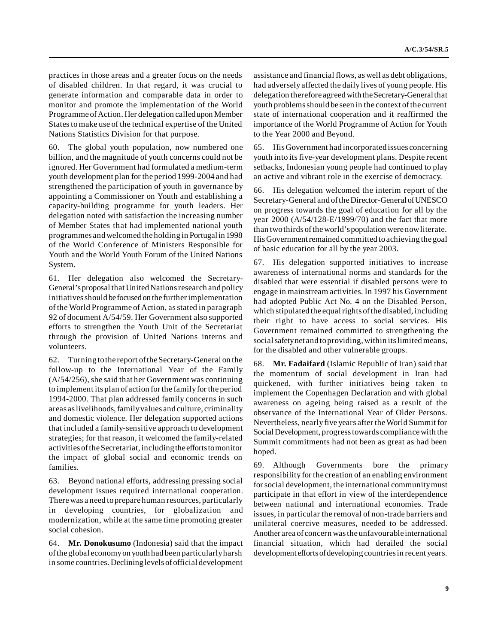practices in those areas and a greater focus on the needs of disabled children. In that regard, it was crucial to generate information and comparable data in order to monitor and promote the implementation of the World Programme of Action. Her delegation called upon Member States to make use of the technical expertise of the United Nations Statistics Division for that purpose.

60. The global youth population, now numbered one billion, and the magnitude of youth concerns could not be ignored. Her Government had formulated a medium-term youth development plan for the period 1999-2004 and had strengthened the participation of youth in governance by appointing a Commissioner on Youth and establishing a capacity-building programme for youth leaders. Her delegation noted with satisfaction the increasing number of Member States that had implemented national youth programmes and welcomed the holding in Portugal in 1998 of the World Conference of Ministers Responsible for Youth and the World Youth Forum of the United Nations System.

61. Her delegation also welcomed the Secretary-General's proposal that United Nations research and policy initiatives should be focused on the further implementation of the World Programme of Action, as stated in paragraph 92 of document A/54/59. Her Government also supported efforts to strengthen the Youth Unit of the Secretariat through the provision of United Nations interns and volunteers.

62. Turning to the report of the Secretary-General on the follow-up to the International Year of the Family (A/54/256), she said that her Government was continuing to implement its plan of action for the family for the period 1994-2000. That plan addressed family concerns in such areas as livelihoods, family values and culture, criminality and domestic violence. Her delegation supported actions that included a family-sensitive approach to development strategies; for that reason, it welcomed the family-related activities of the Secretariat, including the efforts to monitor the impact of global social and economic trends on families.

63. Beyond national efforts, addressing pressing social development issues required international cooperation. There was a need to prepare human resources, particularly in developing countries, for globalization and modernization, while at the same time promoting greater social cohesion.

64. **Mr. Donokusumo** (Indonesia) said that the impact of the global economy on youth had been particularly harsh in some countries. Declining levels of official development

assistance and financial flows, as well as debt obligations, had adversely affected the daily lives of young people. His delegation therefore agreed with the Secretary-General that youth problems should be seen in the context of the current state of international cooperation and it reaffirmed the importance of the World Programme of Action for Youth to the Year 2000 and Beyond.

65. His Government had incorporated issues concerning youth into its five-year development plans. Despite recent setbacks, Indonesian young people had continued to play an active and vibrant role in the exercise of democracy.

66. His delegation welcomed the interim report of the Secretary-General and of the Director-General of UNESCO on progress towards the goal of education for all by the year 2000 (A/54/128-E/1999/70) and the fact that more than two thirds of the world's population were now literate. His Government remained committed to achieving the goal of basic education for all by the year 2003.

67. His delegation supported initiatives to increase awareness of international norms and standards for the disabled that were essential if disabled persons were to engage in mainstream activities. In 1997 his Government had adopted Public Act No. 4 on the Disabled Person, which stipulated the equal rights of the disabled, including their right to have access to social services. His Government remained committed to strengthening the social safety net and to providing, within its limited means, for the disabled and other vulnerable groups.

68. **Mr. Fadaifard** (Islamic Republic of Iran) said that the momentum of social development in Iran had quickened, with further initiatives being taken to implement the Copenhagen Declaration and with global awareness on ageing being raised as a result of the observance of the International Year of Older Persons. Nevertheless, nearly five years after the World Summit for Social Development, progress towards compliance with the Summit commitments had not been as great as had been hoped.

69. Although Governments bore the primary responsibility for the creation of an enabling environment for social development, the international community must participate in that effort in view of the interdependence between national and international economies. Trade issues, in particular the removal of non-trade barriers and unilateral coercive measures, needed to be addressed. Another area of concern was the unfavourable international financial situation, which had derailed the social development efforts of developing countries in recent years.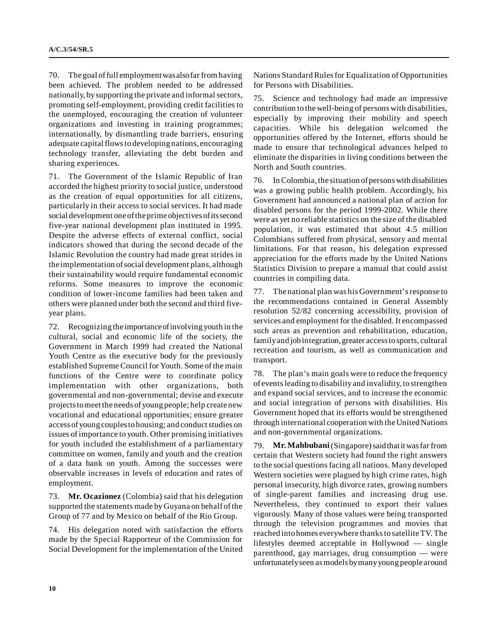70. The goal of full employment was also far from having been achieved. The problem needed to be addressed nationally, by supporting the private and informal sectors, promoting self-employment, providing credit facilities to the unemployed, encouraging the creation of volunteer organizations and investing in training programmes; internationally, by dismantling trade barriers, ensuring adequate capital flows to developing nations, encouraging technology transfer, alleviating the debt burden and sharing experiences.

71. The Government of the Islamic Republic of Iran accorded the highest priority to social justice, understood as the creation of equal opportunities for all citizens, particularly in their access to social services. It had made social development one of the prime objectives of its second five-year national development plan instituted in 1995. Despite the adverse effects of external conflict, social indicators showed that during the second decade of the Islamic Revolution the country had made great strides in the implementation of social development plans, although their sustainability would require fundamental economic reforms. Some measures to improve the economic condition of lower-income families had been taken and others were planned under both the second and third fiveyear plans.

72. Recognizing the importance of involving youth in the cultural, social and economic life of the society, the Government in March 1999 had created the National Youth Centre as the executive body for the previously established Supreme Council for Youth. Some of the main functions of the Centre were to coordinate policy implementation with other organizations, both governmental and non-governmental; devise and execute projects to meet the needs of young people; help create new vocational and educational opportunities; ensure greater access of young couples to housing; and conduct studies on issues of importance to youth. Other promising initiatives for youth included the establishment of a parliamentary committee on women, family and youth and the creation of a data bank on youth. Among the successes were observable increases in levels of education and rates of employment.

73. **Mr. Ocazionez** (Colombia) said that his delegation supported the statements made by Guyana on behalf of the Group of 77 and by Mexico on behalf of the Rio Group.

74. His delegation noted with satisfaction the efforts made by the Special Rapporteur of the Commission for Social Development for the implementation of the United Nations Standard Rules for Equalization of Opportunities for Persons with Disabilities.

75. Science and technology had made an impressive contribution to the well-being of persons with disabilities, especially by improving their mobility and speech capacities. While his delegation welcomed the opportunities offered by the Internet, efforts should be made to ensure that technological advances helped to eliminate the disparities in living conditions between the North and South countries.

76. In Colombia, the situation of persons with disabilities was a growing public health problem. Accordingly, his Government had announced a national plan of action for disabled persons for the period 1999-2002. While there were as yet no reliable statistics on the size of the disabled population, it was estimated that about 4.5 million Colombians suffered from physical, sensory and mental limitations. For that reason, his delegation expressed appreciation for the efforts made by the United Nations Statistics Division to prepare a manual that could assist countries in compiling data.

77. The national plan was his Government's response to the recommendations contained in General Assembly resolution 52/82 concerning accessibility, provision of services and employment for the disabled. It encompassed such areas as prevention and rehabilitation, education, family and job integration, greater access to sports, cultural recreation and tourism, as well as communication and transport.

78. The plan's main goals were to reduce the frequency of events leading to disability and invalidity, to strengthen and expand social services, and to increase the economic and social integration of persons with disabilities. His Government hoped that its efforts would be strengthened through international cooperation with the United Nations and non-governmental organizations.

79. **Mr. Mahbubani** (Singapore) said that it was far from certain that Western society had found the right answers to the social questions facing all nations. Many developed Western societies were plagued by high crime rates, high personal insecurity, high divorce rates, growing numbers of single-parent families and increasing drug use. Nevertheless, they continued to export their values vigorously. Many of those values were being transported through the television programmes and movies that reached into homes everywhere thanks to satellite TV. The lifestyles deemed acceptable in Hollywood — single parenthood, gay marriages, drug consumption — were unfortunately seen as models by many young people around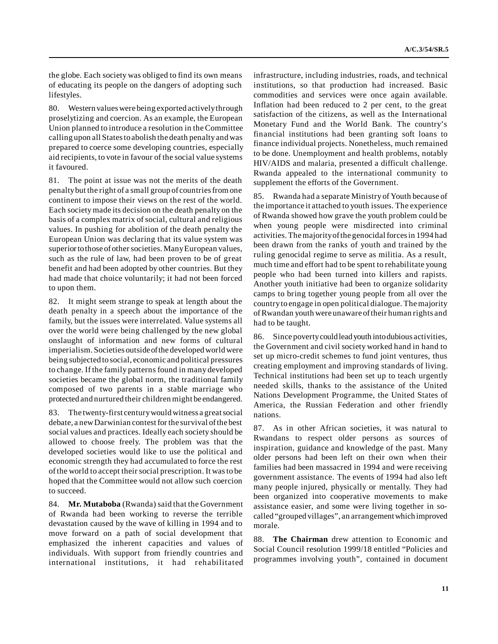the globe. Each society was obliged to find its own means of educating its people on the dangers of adopting such lifestyles.

80. Western values were being exported actively through proselytizing and coercion. As an example, the European Union planned to introduce a resolution in the Committee calling upon all States to abolish the death penalty and was prepared to coerce some developing countries, especially aid recipients, to vote in favour of the social value systems it favoured.

81. The point at issue was not the merits of the death penalty but the right of a small group of countries from one continent to impose their views on the rest of the world. Each society made its decision on the death penalty on the basis of a complex matrix of social, cultural and religious values. In pushing for abolition of the death penalty the European Union was declaring that its value system was superior to those of other societies. Many European values, such as the rule of law, had been proven to be of great benefit and had been adopted by other countries. But they had made that choice voluntarily; it had not been forced to upon them.

82. It might seem strange to speak at length about the death penalty in a speech about the importance of the family, but the issues were interrelated. Value systems all over the world were being challenged by the new global onslaught of information and new forms of cultural imperialism. Societies outside of the developed world were being subjected to social, economic and political pressures to change. If the family patterns found in many developed societies became the global norm, the traditional family composed of two parents in a stable marriage who protected and nurtured their children might be endangered.

83. The twenty-first century would witness a great social debate, a new Darwinian contest for the survival of the best social values and practices. Ideally each society should be allowed to choose freely. The problem was that the developed societies would like to use the political and economic strength they had accumulated to force the rest of the world to accept their social prescription. It was to be hoped that the Committee would not allow such coercion to succeed.

84. **Mr. Mutaboba** (Rwanda) said that the Government of Rwanda had been working to reverse the terrible devastation caused by the wave of killing in 1994 and to move forward on a path of social development that emphasized the inherent capacities and values of individuals. With support from friendly countries and international institutions, it had rehabilitated infrastructure, including industries, roads, and technical institutions, so that production had increased. Basic commodities and services were once again available. Inflation had been reduced to 2 per cent, to the great satisfaction of the citizens, as well as the International Monetary Fund and the World Bank. The country's financial institutions had been granting soft loans to finance individual projects. Nonetheless, much remained to be done. Unemployment and health problems, notably HIV/AIDS and malaria, presented a difficult challenge. Rwanda appealed to the international community to supplement the efforts of the Government.

85. Rwanda had a separate Ministry of Youth because of the importance it attached to youth issues. The experience of Rwanda showed how grave the youth problem could be when young people were misdirected into criminal activities. The majority of the genocidal forces in 1994 had been drawn from the ranks of youth and trained by the ruling genocidal regime to serve as militia. As a result, much time and effort had to be spent to rehabilitate young people who had been turned into killers and rapists. Another youth initiative had been to organize solidarity camps to bring together young people from all over the country to engage in open political dialogue. The majority of Rwandan youth were unaware of their human rights and had to be taught.

86. Since poverty could lead youth into dubious activities, the Government and civil society worked hand in hand to set up micro-credit schemes to fund joint ventures, thus creating employment and improving standards of living. Technical institutions had been set up to teach urgently needed skills, thanks to the assistance of the United Nations Development Programme, the United States of America, the Russian Federation and other friendly nations.

87. As in other African societies, it was natural to Rwandans to respect older persons as sources of inspiration, guidance and knowledge of the past. Many older persons had been left on their own when their families had been massacred in 1994 and were receiving government assistance. The events of 1994 had also left many people injured, physically or mentally. They had been organized into cooperative movements to make assistance easier, and some were living together in socalled "grouped villages", an arrangement which improved morale.

88. **The Chairman** drew attention to Economic and Social Council resolution 1999/18 entitled "Policies and programmes involving youth", contained in document